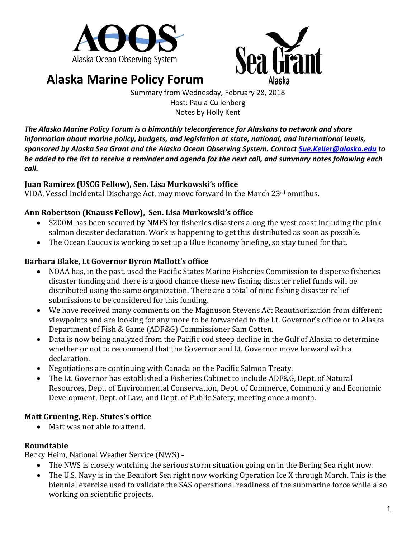



# **Alaska Marine Policy Forum**

Summary from Wednesday, February 28, 2018 Host: Paula Cullenberg Notes by Holly Kent

*The Alaska Marine Policy Forum is a bimonthly teleconference for Alaskans to network and share information about marine policy, budgets, and legislation at state, national, and international levels, sponsored by Alaska Sea Grant and the Alaska Ocean Observing System. Contac[t Sue.Keller@alaska.edu](mailto:Sue.Keller@alaska.edu) to be added to the list to receive a reminder and agenda for the next call, and summary notes following each call.*

### **Juan Ramirez (USCG Fellow), Sen. Lisa Murkowski's office**

VIDA, Vessel Incidental Discharge Act, may move forward in the March 23rd omnibus.

#### **Ann Robertson (Knauss Fellow), Sen. Lisa Murkowski's office**

- \$200M has been secured by NMFS for fisheries disasters along the west coast including the pink salmon disaster declaration. Work is happening to get this distributed as soon as possible.
- The Ocean Caucus is working to set up a Blue Economy briefing, so stay tuned for that.

### **Barbara Blake, Lt Governor Byron Mallott's office**

- NOAA has, in the past, used the Pacific States Marine Fisheries Commission to disperse fisheries disaster funding and there is a good chance these new fishing disaster relief funds will be distributed using the same organization. There are a total of nine fishing disaster relief submissions to be considered for this funding.
- We have received many comments on the Magnuson Stevens Act Reauthorization from different viewpoints and are looking for any more to be forwarded to the Lt. Governor's office or to Alaska Department of Fish & Game (ADF&G) Commissioner Sam Cotten.
- Data is now being analyzed from the Pacific cod steep decline in the Gulf of Alaska to determine whether or not to recommend that the Governor and Lt. Governor move forward with a declaration.
- Negotiations are continuing with Canada on the Pacific Salmon Treaty.
- The Lt. Governor has established a Fisheries Cabinet to include ADF&G, Dept. of Natural Resources, Dept. of Environmental Conservation, Dept. of Commerce, Community and Economic Development, Dept. of Law, and Dept. of Public Safety, meeting once a month.

## **Matt Gruening, Rep. Stutes's office**

• Matt was not able to attend.

## **Roundtable**

Becky Heim, National Weather Service (NWS) -

- The NWS is closely watching the serious storm situation going on in the Bering Sea right now.
- The U.S. Navy is in the Beaufort Sea right now working Operation Ice X through March. This is the biennial exercise used to validate the SAS operational readiness of the submarine force while also working on scientific projects.